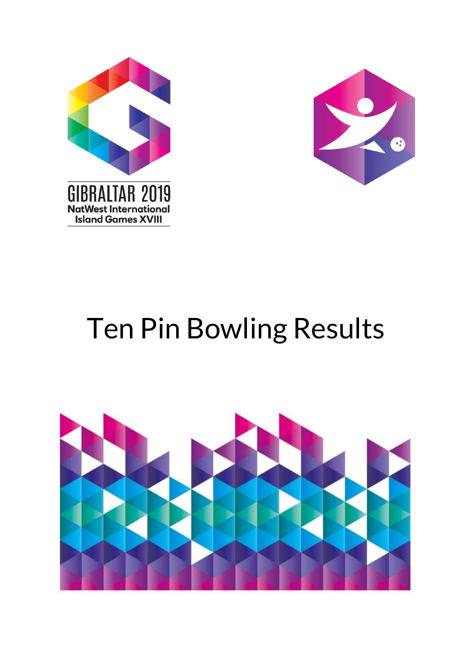



# Ten Pin Bowling Results

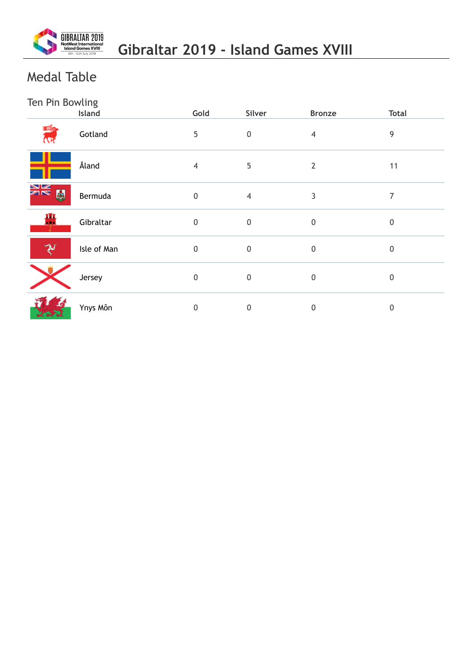

## Medal Table

### Ten Pin Bowling

|               | Island      | Gold             | Silver           | <b>Bronze</b>    | <b>Total</b>     |
|---------------|-------------|------------------|------------------|------------------|------------------|
| Eig<br>रिन    | Gotland     | 5                | $\pmb{0}$        | $\overline{4}$   | 9                |
|               | Åland       | 4                | 5                | $\overline{2}$   | 11               |
| NK<br>NK<br>闛 | Bermuda     | $\pmb{0}$        | $\overline{4}$   | 3                | 7                |
| 疊             | Gibraltar   | $\pmb{0}$        | $\pmb{0}$        | $\pmb{0}$        | $\boldsymbol{0}$ |
|               | Isle of Man | $\pmb{0}$        | $\pmb{0}$        | $\boldsymbol{0}$ | $\mathbf 0$      |
|               | Jersey      | $\mathbf 0$      | $\boldsymbol{0}$ | $\mathbf 0$      | $\mathbf 0$      |
| 大学习           | Ynys Môn    | $\boldsymbol{0}$ | $\pmb{0}$        | 0                | $\boldsymbol{0}$ |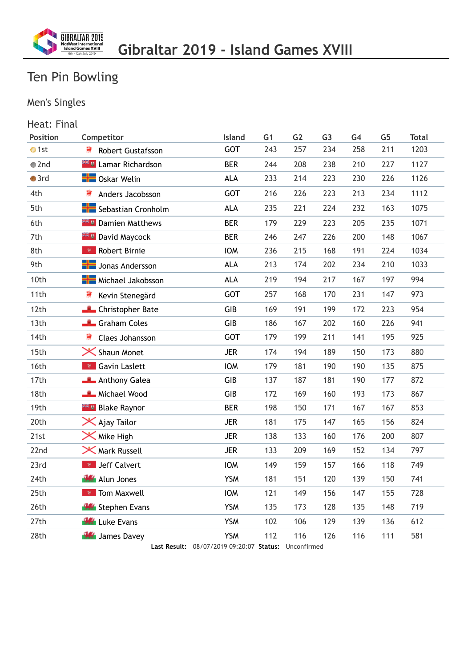

## Men's Singles

| Heat: Final   |                                                |            |                |                |                |      |                |              |
|---------------|------------------------------------------------|------------|----------------|----------------|----------------|------|----------------|--------------|
| Position      | Competitor                                     | Island     | G <sub>1</sub> | G <sub>2</sub> | G <sub>3</sub> | G4   | G <sub>5</sub> | <b>Total</b> |
| $\bullet$ 1st | ₹<br><b>Robert Gustafsson</b>                  | <b>GOT</b> | 243            | 257            | 234            | 258  | 211            | 1203         |
| $\bullet$ 2nd | <b>Example 21 Lamar Richardson</b>             | <b>BER</b> | 244            | 208            | 238            | 210  | 227            | 1127         |
| $\bullet$ 3rd | <b>B</b> Oskar Welin                           | <b>ALA</b> | 233            | 214            | 223            | 230  | 226            | 1126         |
| 4th           | ₹<br>Anders Jacobsson                          | <b>GOT</b> | 216            | 226            | 223            | 213  | 234            | 1112         |
| 5th           | Sebastian Cronholm<br><b>ALA</b><br>235<br>221 |            | 224            | 232            | 163            | 1075 |                |              |
| 6th           | <b>Example 1</b> Damien Matthews               | <b>BER</b> | 179            | 229            | 223            | 205  | 235            | 1071         |
| 7th           | <b>Example 21 David Maycock</b>                | <b>BER</b> | 246            | 247            | 226            | 200  | 148            | 1067         |
| 8th           | <b>*</b> Robert Birnie                         | <b>IOM</b> | 236            | 215            | 168            | 191  | 224            | 1034         |
| 9th           | <b>H</b> Uonas Andersson                       | <b>ALA</b> | 213            | 174            | 202            | 234  | 210            | 1033         |
| 10th          | <b>H</b> Michael Jakobsson                     | <b>ALA</b> | 219            | 194            | 217            | 167  | 197            | 994          |
| 11th          | Kevin Stenegärd                                | GOT        | 257            | 168            | 170            | 231  | 147            | 973          |
| 12th          | <b>Christopher Bate</b>                        | GIB        | 169            | 191            | 199            | 172  | 223            | 954          |
| 13th          | Graham Coles                                   | GIB        | 186            | 167            | 202            | 160  | 226            | 941          |
| 14th          | 寢<br>Claes Johansson                           | <b>GOT</b> | 179            | 199            | 211            | 141  | 195            | 925          |
| 15th          | X Shaun Monet                                  | <b>JER</b> | 174            | 194            | 189            | 150  | 173            | 880          |
| 16th          | <b>v</b> Gavin Laslett                         | <b>IOM</b> | 179            | 181            | 190            | 190  | 135            | 875          |
| 17th          | Anthony Galea                                  | GIB        | 137            | 187            | 181            | 190  | 177            | 872          |
| 18th          | <b>Michael Wood</b>                            | GIB        | 172            | 169            | 160            | 193  | 173            | 867          |
| 19th          | <b>Example 24 Blake Raynor</b>                 | <b>BER</b> | 198            | 150            | 171            | 167  | 167            | 853          |
| 20th          | $\mathsf{\times}$ Ajay Tailor                  | <b>JER</b> | 181            | 175            | 147            | 165  | 156            | 824          |
| 21st          | $\mathsf{\times}$ Mike High                    | <b>JER</b> | 138            | 133            | 160            | 176  | 200            | 807          |
| 22nd          | <b>X</b> Mark Russell                          | <b>JER</b> | 133            | 209            | 169            | 152  | 134            | 797          |
| 23rd          | <b>V</b> Jeff Calvert                          | <b>IOM</b> | 149            | 159            | 157            | 166  | 118            | 749          |
| 24th          | <b>W</b> Alun Jones                            | <b>YSM</b> | 181            | 151            | 120            | 139  | 150            | 741          |
| 25th          | <b>Tom Maxwell</b>                             | <b>IOW</b> | 121            | 149            | 156            | 147  | 155            | 728          |
| 26th          | Stephen Evans                                  | <b>YSM</b> | 135            | 173            | 128            | 135  | 148            | 719          |
| 27th          | <b>Bas</b> Luke Evans                          | <b>YSM</b> | 102            | 106            | 129            | 139  | 136            | 612          |
| 28th          | <b>W</b> James Davey                           | <b>YSM</b> | 112            | 116            | 126            | 116  | 111            | 581          |

**Last Result:** 08/07/2019 09:20:07 **Status:** Unconfirmed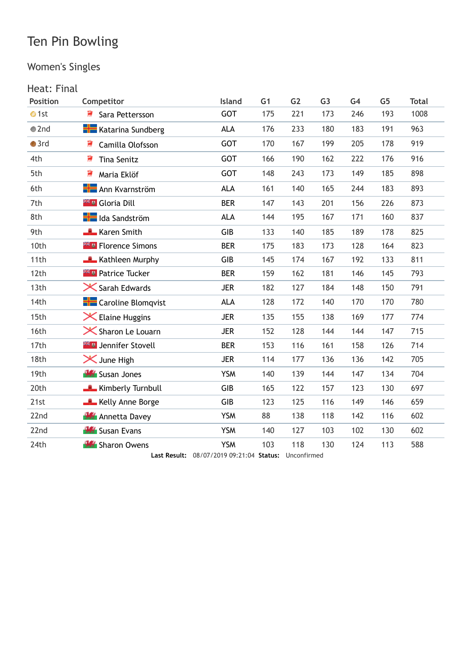## Women's Singles

#### Heat: Final

| Position      | Competitor                         | Island     | G <sub>1</sub> | G <sub>2</sub> | G <sub>3</sub> | G <sub>4</sub> | G <sub>5</sub> | <b>Total</b> |
|---------------|------------------------------------|------------|----------------|----------------|----------------|----------------|----------------|--------------|
| $\bullet$ 1st | 寢<br>Sara Pettersson               | <b>GOT</b> | 175            | 221            | 173            | 246            | 193            | 1008         |
| $\bullet$ 2nd | <b>Katarina Sundberg</b>           | <b>ALA</b> | 176            | 233            | 180            | 183            | 191            | 963          |
| $\bullet$ 3rd | 寶<br>Camilla Olofsson              | <b>GOT</b> | 170            | 167            | 199            | 205            | 178            | 919          |
| 4th           | 寢<br><b>Tina Senitz</b>            | <b>GOT</b> | 166            | 190            | 162            | 222            | 176            | 916          |
| 5th           | 敻<br>Maria Eklöf                   | <b>GOT</b> | 148            | 243            | 173            | 149            | 185            | 898          |
| 6th           | <b>H</b> Ann Kvarnström            | <b>ALA</b> | 161            | 140            | 165            | 244            | 183            | 893          |
| 7th           | <b>X U</b> Gloria Dill             | <b>BER</b> | 147            | 143            | 201            | 156            | 226            | 873          |
| 8th           | <b>H</b> olda Sandström            | <b>ALA</b> | 144            | 195            | 167            | 171            | 160            | 837          |
| 9th           | Karen Smith                        | GIB        | 133            | 140            | 185            | 189            | 178            | 825          |
| 10th          | <b>Example 2</b> Florence Simons   | <b>BER</b> | 175            | 183            | 173            | 128            | 164            | 823          |
| 11th          | Kathleen Murphy                    | GIB        | 145            | 174            | 167            | 192            | 133            | 811          |
| 12th          | <b>Exter</b> Patrice Tucker        | <b>BER</b> | 159            | 162            | 181            | 146            | 145            | 793          |
| 13th          | $\mathsf{\times}$ Sarah Edwards    | <b>JER</b> | 182            | 127            | 184            | 148            | 150            | 791          |
| 14th          | <b>The Caroline Blomqvist</b>      | <b>ALA</b> | 128            | 172            | 140            | 170            | 170            | 780          |
| 15th          | $\times$ Elaine Huggins            | <b>JER</b> | 135            | 155            | 138            | 169            | 177            | 774          |
| 16th          | $\mathsf{\times}$ Sharon Le Louarn | <b>JER</b> | 152            | 128            | 144            | 144            | 147            | 715          |
| 17th          | <b>Example 11 Jennifer Stovell</b> | <b>BER</b> | 153            | 116            | 161            | 158            | 126            | 714          |
| 18th          | $\mathsf{\times}$ June High        | <b>JER</b> | 114            | 177            | 136            | 136            | 142            | 705          |
| 19th          | <b>W</b> Susan Jones               | <b>YSM</b> | 140            | 139            | 144            | 147            | 134            | 704          |
| 20th          | Kimberly Turnbull                  | GIB        | 165            | 122            | 157            | 123            | 130            | 697          |
| 21st          | Kelly Anne Borge                   | GIB        | 123            | 125            | 116            | 149            | 146            | 659          |
| 22nd          | <b>Annetta Davey</b>               | <b>YSM</b> | 88             | 138            | 118            | 142            | 116            | 602          |
| 22nd          | <b>W</b> Susan Evans               | <b>YSM</b> | 140            | 127            | 103            | 102            | 130            | 602          |
| 24th          | <b>W</b> Sharon Owens              | <b>YSM</b> | 103            | 118            | 130            | 124            | 113            | 588          |

**Last Result:** 08/07/2019 09:21:04 **Status:** Unconfirmed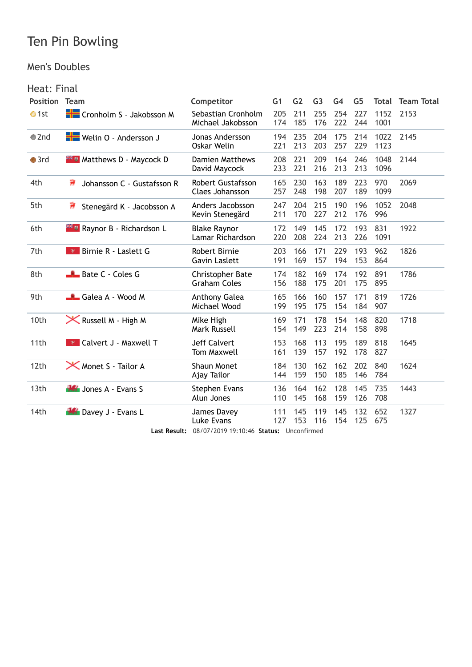#### Men's Doubles

#### Heat: Final

| <b>Position</b> | <b>Team</b>                                | Competitor                                                                  | G <sub>1</sub> | G <sub>2</sub> | G <sub>3</sub> | G <sub>4</sub> | G <sub>5</sub> | Total        | <b>Team Total</b> |
|-----------------|--------------------------------------------|-----------------------------------------------------------------------------|----------------|----------------|----------------|----------------|----------------|--------------|-------------------|
| $\bullet$ 1st   | Cronholm S - Jakobsson M                   | Sebastian Cronholm<br>Michael Jakobsson                                     | 205<br>174     | 211<br>185     | 255<br>176     | 254<br>222     | 227<br>244     | 1152<br>1001 | 2153              |
| $\bullet$ 2nd   | Welin O - Andersson J                      | Jonas Andersson<br>Oskar Welin                                              | 194<br>221     | 235<br>213     | 204<br>203     | 175<br>257     | 214<br>229     | 1022<br>1123 | 2145              |
| $\bullet$ 3rd   | <b>Example 21 Market Maycock D</b>         | <b>Damien Matthews</b><br>David Maycock                                     | 208<br>233     | 221<br>221     | 209<br>216     | 164<br>213     | 246<br>213     | 1048<br>1096 | 2144              |
| 4th             | ₹<br>Johansson C - Gustafsson R            | Robert Gustafsson<br>Claes Johansson                                        | 165<br>257     | 230<br>248     | 163<br>198     | 189<br>207     | 223<br>189     | 970<br>1099  | 2069              |
| 5th             | ₹<br>Stenegärd K - Jacobsson A             | Anders Jacobsson<br>Kevin Stenegärd                                         | 247<br>211     | 204<br>170     | 215<br>227     | 190<br>212     | 196<br>176     | 1052<br>996  | 2048              |
| 6th             | <b>Example 1</b> Raynor B - Richardson L   | <b>Blake Raynor</b><br>Lamar Richardson                                     | 172<br>220     | 149<br>208     | 145<br>224     | 172<br>213     | 193<br>226     | 831<br>1091  | 1922              |
| 7th             | <b>R</b> Birnie R - Laslett G              | Robert Birnie<br><b>Gavin Laslett</b>                                       | 203<br>191     | 166<br>169     | 171<br>157     | 229<br>194     | 193<br>153     | 962<br>864   | 1826              |
| 8th             | Bate C - Coles G                           | Christopher Bate<br><b>Graham Coles</b>                                     | 174<br>156     | 182<br>188     | 169<br>175     | 174<br>201     | 192<br>175     | 891<br>895   | 1786              |
| 9th             | Galea A - Wood M                           | Anthony Galea<br>Michael Wood                                               | 165<br>199     | 166<br>195     | 160<br>175     | 157<br>154     | 171<br>184     | 819<br>907   | 1726              |
| 10th            | <b>X</b> Russell M - High M                | Mike High<br><b>Mark Russell</b>                                            | 169<br>154     | 171<br>149     | 178<br>223     | 154<br>214     | 148<br>158     | 820<br>898   | 1718              |
| 11th            | <b>P</b> Calvert J - Maxwell T             | <b>Jeff Calvert</b><br><b>Tom Maxwell</b>                                   | 153<br>161     | 168<br>139     | 113<br>157     | 195<br>192     | 189<br>178     | 818<br>827   | 1645              |
| 12th            | <b>X</b> Monet S - Tailor A                | <b>Shaun Monet</b><br>Ajay Tailor                                           | 184<br>144     | 130<br>159     | 162<br>150     | 162<br>185     | 202<br>146     | 840<br>784   | 1624              |
| 13th            | <b>W</b> Jones A - Evans S                 | Stephen Evans<br>Alun Jones                                                 | 136<br>110     | 164<br>145     | 162<br>168     | 128<br>159     | 145<br>126     | 735<br>708   | 1443              |
| 14th            | <b>W</b> Davey J - Evans L<br>Last Result: | James Davey<br><b>Luke Evans</b><br>08/07/2019 19:10:46 Status: Unconfirmed | 111<br>127     | 145<br>153     | 119<br>116     | 145<br>154     | 132<br>125     | 652<br>675   | 1327              |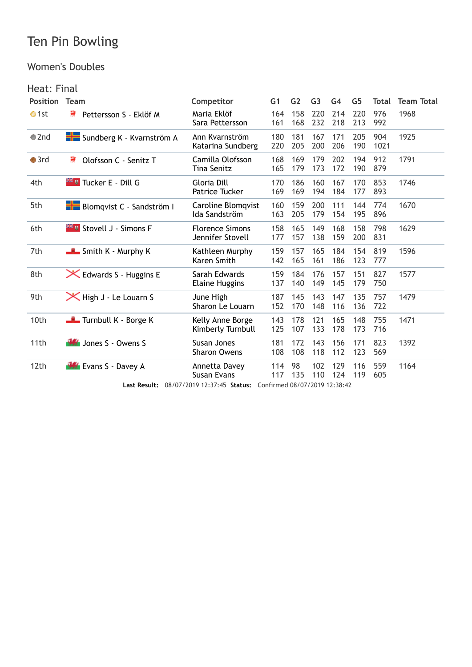#### Women's Doubles

#### Heat: Final

| <b>Position</b> | <b>Team</b>                             | Competitor                                                | G <sub>1</sub> | G <sub>2</sub> | G <sub>3</sub> | G4         | G5         | Total       | <b>Team Total</b> |
|-----------------|-----------------------------------------|-----------------------------------------------------------|----------------|----------------|----------------|------------|------------|-------------|-------------------|
| $\bullet$ 1st   | 훐<br>Pettersson S - Eklöf M             | Maria Eklöf<br>Sara Pettersson                            | 164<br>161     | 158<br>168     | 220<br>232     | 214<br>218 | 220<br>213 | 976<br>992  | 1968              |
| $\bullet$ 2nd   | Sundberg K - Kvarnström A               | Ann Kvarnström<br>Katarina Sundberg                       | 180<br>220     | 181<br>205     | 167<br>200     | 171<br>206 | 205<br>190 | 904<br>1021 | 1925              |
| $\bullet$ 3rd   | ₩<br>Olofsson C - Senitz T              | Camilla Olofsson<br>Tina Senitz                           | 168<br>165     | 169<br>179     | 179<br>173     | 202<br>172 | 194<br>190 | 912<br>879  | 1791              |
| 4th             | <b>Example 1</b> Tucker E - Dill G      | Gloria Dill<br>Patrice Tucker                             | 170<br>169     | 186<br>169     | 160<br>194     | 167<br>184 | 170<br>177 | 853<br>893  | 1746              |
| 5th             | <b>Blomqvist C</b> - Sandström I        | Caroline Blomqvist<br>Ida Sandström                       | 160<br>163     | 159<br>205     | 200<br>179     | 111<br>154 | 144<br>195 | 774<br>896  | 1670              |
| 6th             | <b>Example 21 Strovell J - Simons F</b> | <b>Florence Simons</b><br>Jennifer Stovell                | 158<br>177     | 165<br>157     | 149<br>138     | 168<br>159 | 158<br>200 | 798<br>831  | 1629              |
| 7th             | $\frac{1}{2}$ Smith K - Murphy K        | Kathleen Murphy<br>Karen Smith                            | 159<br>142     | 157<br>165     | 165<br>161     | 184<br>186 | 154<br>123 | 819<br>777  | 1596              |
| 8th             | <b>X</b> Edwards S - Huggins E          | Sarah Edwards<br><b>Elaine Huggins</b>                    | 159<br>137     | 184<br>140     | 176<br>149     | 157<br>145 | 151<br>179 | 827<br>750  | 1577              |
| 9th             | <b>X</b> High J - Le Louarn S           | June High<br>Sharon Le Louarn                             | 187<br>152     | 145<br>170     | 143<br>148     | 147<br>116 | 135<br>136 | 757<br>722  | 1479              |
| 10th            | Turnbull K - Borge K                    | Kelly Anne Borge<br>Kimberly Turnbull                     | 143<br>125     | 178<br>107     | 121<br>133     | 165<br>178 | 148<br>173 | 755<br>716  | 1471              |
| 11th            | <b>W</b> Jones S - Owens S              | Susan Jones<br><b>Sharon Owens</b>                        | 181<br>108     | 172<br>108     | 143<br>118     | 156<br>112 | 171<br>123 | 823<br>569  | 1392              |
| 12th            | <b>W</b> Evans S - Davey A              | Annetta Davey<br><b>Susan Evans</b>                       | 114<br>117     | 98<br>135      | 102<br>110     | 129<br>124 | 116<br>119 | 559<br>605  | 1164              |
|                 | Last Result:                            | 08/07/2019 12:37:45 Status: Confirmed 08/07/2019 12:38:42 |                |                |                |            |            |             |                   |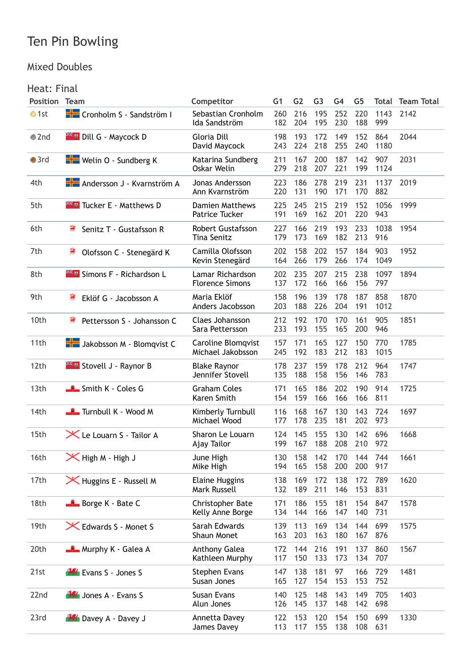#### Mixed Doubles

#### Heat: Final

| <b>Position</b> | <b>Team</b>                                   | Competitor                                      | G <sub>1</sub> | G <sub>2</sub> | G <sub>3</sub> | G <sub>4</sub> | G <sub>5</sub> | Total       | <b>Team Total</b> |
|-----------------|-----------------------------------------------|-------------------------------------------------|----------------|----------------|----------------|----------------|----------------|-------------|-------------------|
| $\bullet$ 1st   | Cronholm S - Sandström I                      | Sebastian Cronholm<br>Ida Sandström             | 260<br>182     | 216<br>204     | 195<br>195     | 252<br>230     | 220<br>188     | 1143<br>999 | 2142              |
| $\bullet$ 2nd   | <b>Example 1</b> Dill G - Maycock D           | Gloria Dill<br>David Maycock                    | 198<br>243     | 193<br>224     | 172<br>218     | 149<br>255     | 152<br>240     | 864<br>1180 | 2044              |
| $\bullet$ 3rd   | <b>H</b> Welin O - Sundberg K                 | Katarina Sundberg<br>Oskar Welin                | 211<br>279     | 167<br>218     | 200<br>207     | 187<br>221     | 142<br>199     | 907<br>1124 | 2031              |
| 4th             | <b>H</b> Andersson J - Kvarnström A           | Jonas Andersson<br>Ann Kvarnström               | 223<br>220     | 186<br>131     | 278<br>190     | 219<br>171     | 231<br>170     | 1137<br>882 | 2019              |
| 5th             | <b>Example 2 Follow Tucker E - Matthews D</b> | <b>Damien Matthews</b><br><b>Patrice Tucker</b> | 225<br>191     | 245<br>169     | 215<br>162     | 219<br>201     | 152<br>220     | 1056<br>943 | 1999              |
| 6th             | ₹₹<br>Senitz T - Gustafsson R                 | <b>Robert Gustafsson</b><br><b>Tina Senitz</b>  | 227<br>179     | 166<br>173     | 219<br>169     | 193<br>182     | 233<br>213     | 1038<br>916 | 1954              |
| 7th             | 薄<br>Olofsson C - Stenegärd K                 | Camilla Olofsson<br>Kevin Stenegärd             | 202<br>164     | 158<br>266     | 202<br>179     | 157<br>266     | 184<br>174     | 903<br>1049 | 1952              |
| 8th             | <b>Example 12</b> Simons F - Richardson L     | Lamar Richardson<br><b>Florence Simons</b>      | 202<br>137     | 235<br>172     | 207<br>166     | 215<br>166     | 238<br>156     | 1097<br>797 | 1894              |
| 9th             | 薄<br>Eklöf G - Jacobsson A                    | Maria Eklöf<br>Anders Jacobsson                 | 158<br>203     | 196<br>188     | 139<br>226     | 178<br>204     | 187<br>191     | 858<br>1012 | 1870              |
| 10th            | 寶<br>Pettersson S - Johansson C               | Claes Johansson<br>Sara Pettersson              | 212<br>233     | 192<br>193     | 170<br>155     | 170<br>165     | 161<br>200     | 905<br>946  | 1851              |
| 11th            | Jakobsson M - Blomqvist C                     | Caroline Blomqvist<br>Michael Jakobsson         | 157<br>245     | 171<br>192     | 165<br>183     | 127<br>212     | 150<br>183     | 770<br>1015 | 1785              |
| 12th            | <b>Example 1 - Raynor B</b>                   | <b>Blake Raynor</b><br>Jennifer Stovell         | 178<br>135     | 237<br>188     | 159<br>158     | 178<br>156     | 212<br>146     | 964<br>783  | 1747              |
| 13th            | Smith K - Coles G                             | <b>Graham Coles</b><br>Karen Smith              | 171<br>154     | 165<br>159     | 186<br>166     | 202<br>166     | 190<br>166     | 914<br>811  | 1725              |
| 14th            | Turnbull K - Wood M                           | Kimberly Turnbull<br>Michael Wood               | 116<br>177     | 168<br>178     | 167<br>235     | 130<br>181     | 143<br>202     | 724<br>973  | 1697              |
| 15th            | X Le Louarn S - Tailor A                      | Sharon Le Louarn<br>Ajay Tailor                 | 124<br>199     | 145<br>167     | 155<br>188     | 130<br>208     | 142<br>210     | 696<br>972  | 1668              |
| 16th            | $\mathsf{\times}$ High M - High J             | June High<br>Mike High                          | 130<br>194     | 158<br>165     | 142<br>158     | 170<br>200     | 144<br>200     | 744<br>917  | 1661              |
| 17th            | <b>X</b> Huggins E - Russell M                | <b>Elaine Huggins</b><br>Mark Russell           | 138<br>132     | 169<br>189     | 172<br>211     | 138<br>146     | 172<br>153     | 789<br>831  | 1620              |
| 18th            | <b>Borge K - Bate C</b>                       | Christopher Bate<br>Kelly Anne Borge            | 171<br>134     | 186<br>144     | 155<br>166     | 181<br>147     | 154<br>140     | 847<br>731  | 1578              |
| 19th            | <b>X</b> Edwards S - Monet S                  | Sarah Edwards<br>Shaun Monet                    | 139<br>163     | 113<br>203     | 169<br>163     | 134<br>180     | 144<br>167     | 699<br>876  | 1575              |
| 20th            | Murphy K - Galea A                            | Anthony Galea<br>Kathleen Murphy                | 172<br>117     | 144<br>150     | 216<br>133     | 191<br>173     | 137<br>134     | 860<br>707  | 1567              |
| 21st            | <b>WE Evans S - Jones S</b>                   | <b>Stephen Evans</b><br>Susan Jones             | 147<br>165     | 138<br>127     | 181<br>154     | 97<br>153      | 166<br>153     | 729<br>752  | 1481              |
| 22nd            | Jones A - Evans S                             | Susan Evans<br>Alun Jones                       | 140<br>126     | 125<br>145     | 148<br>137     | 143<br>148     | 149<br>142     | 705<br>698  | 1403              |
| 23rd            | <b>Busy A - Davey J</b>                       | Annetta Davey<br>James Davey                    | 122<br>113     | 153<br>117     | 120<br>155     | 154<br>138     | 150<br>108     | 699<br>631  | 1330              |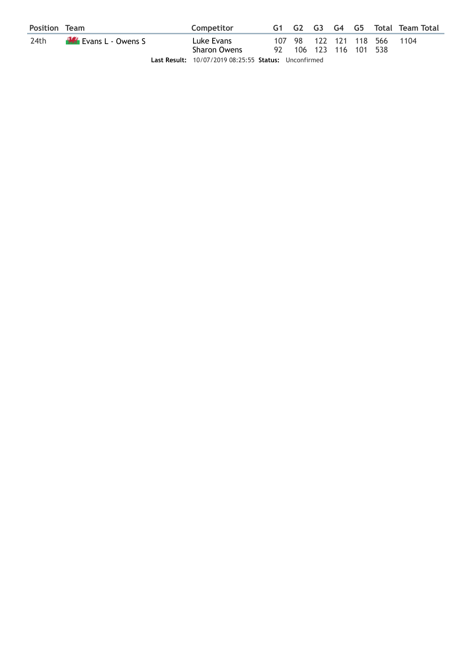| <b>Position Team</b> |                            | Competitor                                           |                        |  |                             | G1 G2 G3 G4 G5 Total Team Total |
|----------------------|----------------------------|------------------------------------------------------|------------------------|--|-----------------------------|---------------------------------|
| 24th                 | <b>W</b> Evans L - Owens S | Luke Evans<br><b>Sharon Owens</b>                    | 92 106 123 116 101 538 |  | 107 98 122 121 118 566 1104 |                                 |
|                      |                            | Last Result: 10/07/2019 08:25:55 Status: Unconfirmed |                        |  |                             |                                 |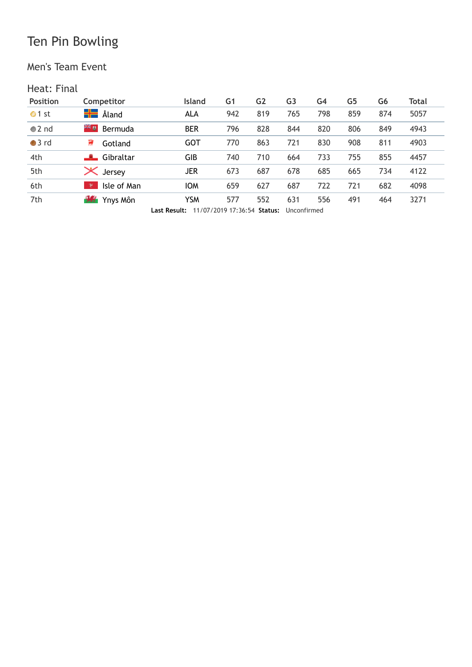Men's Team Event

#### Heat: Final

| <b>Position</b> | Competitor               | <b>Island</b>                                                                                                                                       | G1  | G <sub>2</sub> | G <sub>3</sub> | G4  | G <sub>5</sub> | G6  | Total |
|-----------------|--------------------------|-----------------------------------------------------------------------------------------------------------------------------------------------------|-----|----------------|----------------|-----|----------------|-----|-------|
| $\bullet$ 1 st  | <b>H</b> Åland           | ALA                                                                                                                                                 | 942 | 819            | 765            | 798 | 859            | 874 | 5057  |
| $\bullet$ 2 nd  | ≍≍ ø<br>Bermuda          | <b>BER</b>                                                                                                                                          | 796 | 828            | 844            | 820 | 806            | 849 | 4943  |
| $•3$ rd         | 薄<br>Gotland             | <b>GOT</b>                                                                                                                                          | 770 | 863            | 721            | 830 | 908            | 811 | 4903  |
| 4th             | Gibraltar                | GIB                                                                                                                                                 | 740 | 710            | 664            | 733 | 755            | 855 | 4457  |
| 5th             | $\mathsf{\times}$ Jersey | JER                                                                                                                                                 | 673 | 687            | 678            | 685 | 665            | 734 | 4122  |
| 6th             | Isle of Man<br>v         | <b>IOM</b>                                                                                                                                          | 659 | 627            | 687            | 722 | 721            | 682 | 4098  |
| 7th             | <b>15</b> Ynys Môn       | <b>YSM</b><br>$\overline{a}$ . $\overline{a}$ . $\overline{a}$ . $\overline{a}$ . $\overline{a}$ . $\overline{a}$ . $\overline{a}$ . $\overline{a}$ | 577 | 552            | 631            | 556 | 491            | 464 | 3271  |

**Last Result:** 11/07/2019 17:36:54 **Status:** Unconfirmed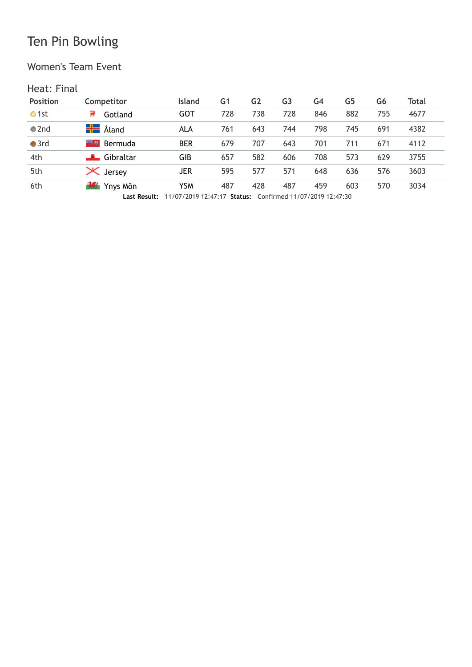#### Women's Team Event

#### Heat: Final

| <b>Position</b> | Competitor               | <b>Island</b>                                                                                                                     | G1  | G2  | G3  | G4  | G5  | G6  | Total |
|-----------------|--------------------------|-----------------------------------------------------------------------------------------------------------------------------------|-----|-----|-----|-----|-----|-----|-------|
| $\bullet$ 1st   | Gotland                  | GOT                                                                                                                               | 728 | 738 | 728 | 846 | 882 | 755 | 4677  |
| $\bullet$ 2nd   | <b>H</b> Åland           | ALA                                                                                                                               | 761 | 643 | 744 | 798 | 745 | 691 | 4382  |
| $\bullet$ 3rd   | ≍≍ u<br>Bermuda          | <b>BER</b>                                                                                                                        | 679 | 707 | 643 | 701 | 711 | 671 | 4112  |
| 4th             | Gibraltar                | GIB                                                                                                                               | 657 | 582 | 606 | 708 | 573 | 629 | 3755  |
| 5th             | $\mathsf{\times}$ Jersey | <b>JER</b>                                                                                                                        | 595 | 577 | 571 | 648 | 636 | 576 | 3603  |
| 6th             | <b>Will Ynys Môn</b>     | <b>YSM</b>                                                                                                                        | 487 | 428 | 487 | 459 | 603 | 570 | 3034  |
|                 |                          | $1 - 1$ Decides $44/07/2040/42.47.47$ Creatings $C_2$ of $\frac{1}{2}$ and $\frac{1}{2}$ (2010 $\frac{1}{2}$ , $\frac{1}{2}$ , 20 |     |     |     |     |     |     |       |

**Last Result:** 11/07/2019 12:47:17 **Status:** Confirmed 11/07/2019 12:47:30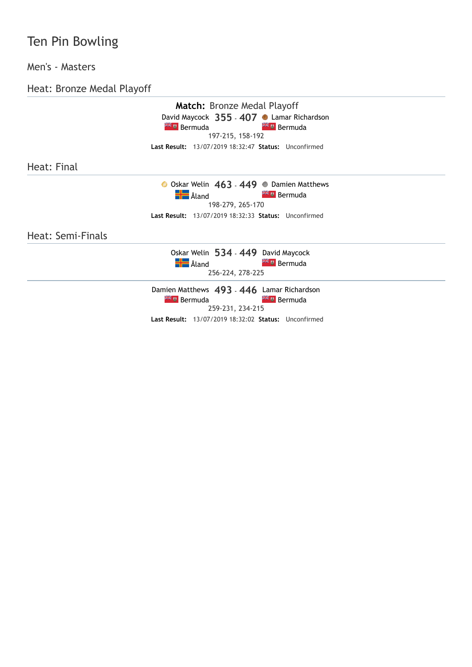#### Men's - Masters

Heat: Bronze Medal Playoff

|                   | <b>Match:</b> Bronze Medal Playoff                   |  |
|-------------------|------------------------------------------------------|--|
|                   | David Maycock 355 - 407 C Lamar Richardson           |  |
|                   | <b>Externe Bermuda</b><br><b>XX u</b> Bermuda        |  |
|                   | 197-215, 158-192                                     |  |
|                   | Last Result: 13/07/2019 18:32:47 Status: Unconfirmed |  |
|                   |                                                      |  |
| Heat: Final       |                                                      |  |
|                   | ● Oskar Welin 463 - 449 ● Damien Matthews            |  |
|                   | <b>H</b> Aland<br><b>Extra</b> Bermuda               |  |
|                   | 198-279, 265-170                                     |  |
|                   | Last Result: 13/07/2019 18:32:33 Status: Unconfirmed |  |
| Heat: Semi-Finals |                                                      |  |
|                   | Oskar Welin 534 - 449 David Maycock                  |  |
|                   | <b>H</b> Åland<br><b>Extra</b> Bermuda               |  |
|                   | 256-224, 278-225                                     |  |
|                   | Damien Matthews 493 - 446 Lamar Richardson           |  |
|                   | <b>External Bermuda</b><br><b>XK u</b> Bermuda       |  |
|                   | 259-231, 234-215                                     |  |
|                   | Last Result: 13/07/2019 18:32:02 Status: Unconfirmed |  |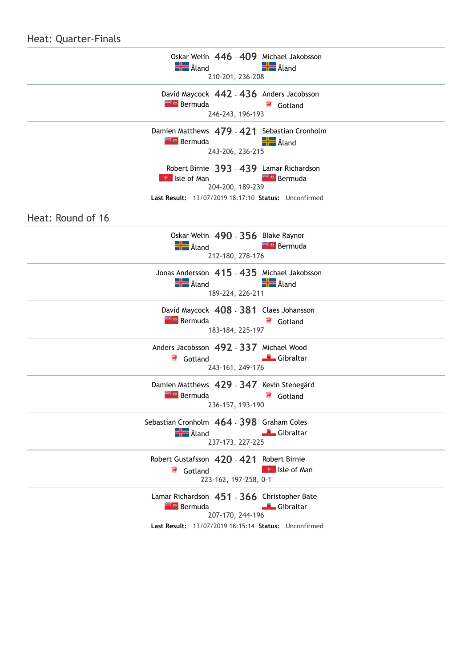#### Heat: Quarter-Finals

| Oskar Welin 446 - 409 Michael Jakobsson<br><b>H</b> Aland<br><b>Hand</b> Åland<br>210-201, 236-208                                                                   |
|----------------------------------------------------------------------------------------------------------------------------------------------------------------------|
| David Maycock 442 - 436 Anders Jacobsson<br><b>Extra</b> Bermuda<br>Gotland<br>246-243, 196-193                                                                      |
| Damien Matthews 479 - 421 Sebastian Cronholm<br><b>Aland</b><br><b>Bermuda</b><br>243-206, 236-215                                                                   |
| Robert Birnie 393 - 439 Lamar Richardson<br><b>Extra</b> Bermuda<br><b>P</b> Isle of Man<br>204-200, 189-239<br>Last Result: 13/07/2019 18:17:10 Status: Unconfirmed |
| Heat: Round of 16                                                                                                                                                    |
| Oskar Welin 490 - 356 Blake Raynor<br><b>H</b> Aland<br><b>External Bermuda</b><br>212-180, 278-176                                                                  |
| Jonas Andersson 415 - 435 Michael Jakobsson<br>$\frac{1}{2}$ Åland<br><b>H</b> Aland<br>189-224, 226-211                                                             |
| David Maycock 408 - 381 Claes Johansson<br><b>Extra</b> Bermuda<br>Gotland<br>183-184, 225-197                                                                       |
| Anders Jacobsson 492 - 337 Michael Wood<br>Gibraltar<br>Gotland<br>243-161, 249-176                                                                                  |
| Damien Matthews 429 - 347 Kevin Stenegärd<br><sup>≥⊭</sup> <sup>u</sup> Bermuda<br>Gotland<br>236-157, 193-190                                                       |
| Sebastian Cronholm 464 - 398 Graham Coles<br><b>H</b> Aland<br>Gibraltar<br>237-173, 227-225                                                                         |
| Robert Gustafsson 420 - 421 Robert Birnie<br>$\mathbb{R}$ Isle of Man<br>Gotland<br>223-162, 197-258, 0-1                                                            |
| Lamar Richardson 451 - 366 Christopher Bate<br><b>Example 2</b> Bermuda<br>Gibraltar<br>207-170, 244-196<br>Last Result: 13/07/2019 18:15:14 Status: Unconfirmed     |
|                                                                                                                                                                      |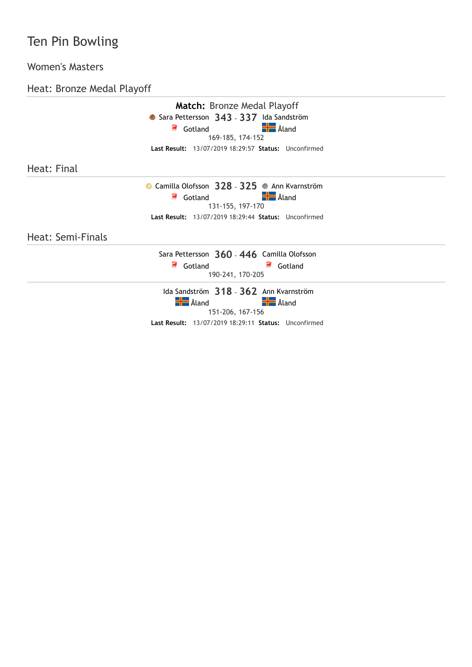#### Women's Masters

Heat: Bronze Medal Playoff